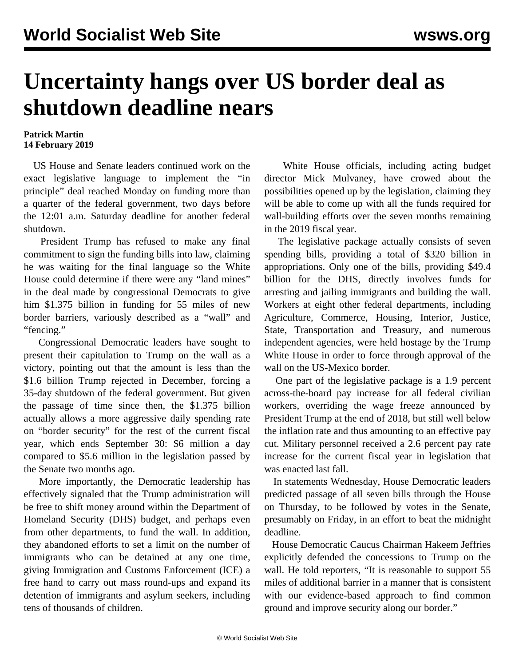## **Uncertainty hangs over US border deal as shutdown deadline nears**

## **Patrick Martin 14 February 2019**

 US House and Senate leaders continued work on the exact legislative language to implement the "in principle" deal reached Monday on funding more than a quarter of the federal government, two days before the 12:01 a.m. Saturday deadline for another federal shutdown.

 President Trump has refused to make any final commitment to sign the funding bills into law, claiming he was waiting for the final language so the White House could determine if there were any "land mines" in the deal made by congressional Democrats to give him \$1.375 billion in funding for 55 miles of new border barriers, variously described as a "wall" and "fencing."

 Congressional Democratic leaders have sought to present their capitulation to Trump on the wall as a victory, pointing out that the amount is less than the \$1.6 billion Trump rejected in December, forcing a 35-day shutdown of the federal government. But given the passage of time since then, the \$1.375 billion actually allows a more aggressive daily spending rate on "border security" for the rest of the current fiscal year, which ends September 30: \$6 million a day compared to \$5.6 million in the legislation passed by the Senate two months ago.

 More importantly, the Democratic leadership has effectively signaled that the Trump administration will be free to shift money around within the Department of Homeland Security (DHS) budget, and perhaps even from other departments, to fund the wall. In addition, they abandoned efforts to set a limit on the number of immigrants who can be detained at any one time, giving Immigration and Customs Enforcement (ICE) a free hand to carry out mass round-ups and expand its detention of immigrants and asylum seekers, including tens of thousands of children.

 White House officials, including acting budget director Mick Mulvaney, have crowed about the possibilities opened up by the legislation, claiming they will be able to come up with all the funds required for wall-building efforts over the seven months remaining in the 2019 fiscal year.

 The legislative package actually consists of seven spending bills, providing a total of \$320 billion in appropriations. Only one of the bills, providing \$49.4 billion for the DHS, directly involves funds for arresting and jailing immigrants and building the wall. Workers at eight other federal departments, including Agriculture, Commerce, Housing, Interior, Justice, State, Transportation and Treasury, and numerous independent agencies, were held hostage by the Trump White House in order to force through approval of the wall on the US-Mexico border.

 One part of the legislative package is a 1.9 percent across-the-board pay increase for all federal civilian workers, overriding the wage freeze announced by President Trump at the end of 2018, but still well below the inflation rate and thus amounting to an effective pay cut. Military personnel received a 2.6 percent pay rate increase for the current fiscal year in legislation that was enacted last fall.

 In statements Wednesday, House Democratic leaders predicted passage of all seven bills through the House on Thursday, to be followed by votes in the Senate, presumably on Friday, in an effort to beat the midnight deadline.

 House Democratic Caucus Chairman Hakeem Jeffries explicitly defended the concessions to Trump on the wall. He told reporters, "It is reasonable to support 55 miles of additional barrier in a manner that is consistent with our evidence-based approach to find common ground and improve security along our border."